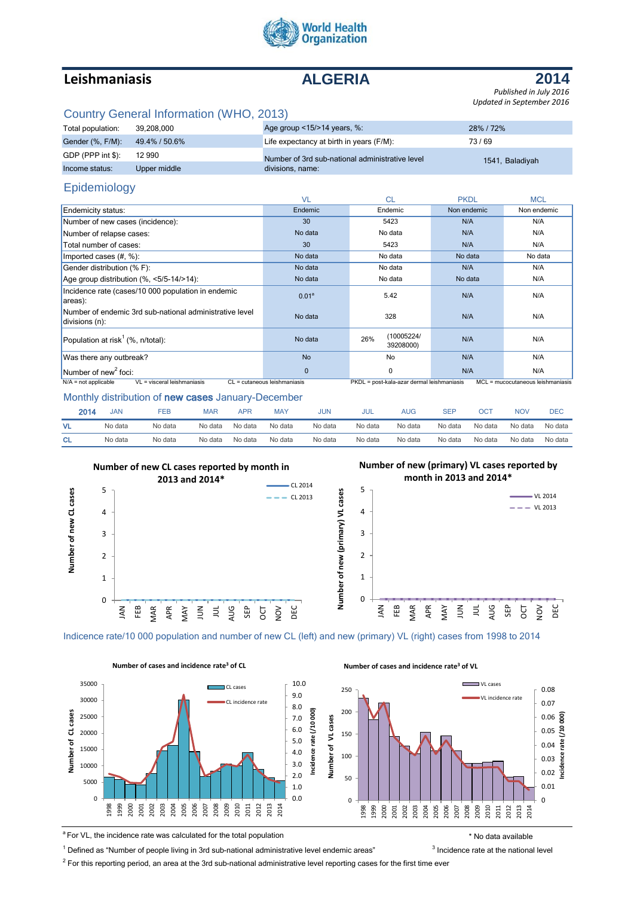

# **Leishmaniasis ALGERIA**

**2014** *Published in July 2016 Updated in September 2016*

## Country General Information (WHO, 2013)

| Total population: | 39.208.000    | Age group <15/>>14 years, %:                    | 28% / 72%       |
|-------------------|---------------|-------------------------------------------------|-----------------|
| Gender (%, F/M):  | 49.4% / 50.6% | Life expectancy at birth in years (F/M):        | 73/69           |
| GDP (PPP int \$): | 12 990        | Number of 3rd sub-national administrative level | 1541, Baladiyah |
| Income status:    | Upper middle  | divisions, name:                                |                 |

## Epidemiology

|                                                                           | <b>VL</b>                    | <b>CL</b>                                  | <b>PKDL</b> | <b>MCL</b>                        |  |
|---------------------------------------------------------------------------|------------------------------|--------------------------------------------|-------------|-----------------------------------|--|
| Endemicity status:                                                        | Endemic                      | Non endemic<br>Endemic                     |             | Non endemic                       |  |
| Number of new cases (incidence):                                          | 30                           | 5423                                       | N/A         | N/A                               |  |
| Number of relapse cases:                                                  | No data                      | No data                                    | N/A         | N/A                               |  |
| Total number of cases:                                                    | 30                           | 5423                                       | N/A         | N/A                               |  |
| Imported cases $(\#,\%)$ :                                                | No data                      | No data                                    | No data     | No data                           |  |
| Gender distribution (% F):                                                | No data                      | No data<br>N/A                             |             | N/A                               |  |
| Age group distribution (%, <5/5-14/>14):                                  | No data                      | No data                                    | No data     | N/A                               |  |
| Incidence rate (cases/10 000 population in endemic<br>areas):             | 0.01 <sup>a</sup>            | 5.42                                       | N/A         | N/A                               |  |
| Number of endemic 3rd sub-national administrative level<br>divisions (n): | No data                      | 328                                        | N/A         | N/A                               |  |
| Population at risk <sup>1</sup> (%, n/total):                             | No data                      | (10005224/<br>26%<br>39208000)             | N/A         | N/A                               |  |
| Was there any outbreak?                                                   | <b>No</b>                    | No                                         | N/A         | N/A                               |  |
| Number of new <sup>2</sup> foci:                                          | $\Omega$                     | 0                                          | N/A         | N/A                               |  |
| VL = visceral leishmaniasis<br>$N/A$ = not applicable                     | CL = cutaneous leishmaniasis | PKDL = post-kala-azar dermal leishmaniasis |             | MCL = mucocutaneous leishmaniasis |  |

#### Monthly distribution of new cases January-December

| 2014      | <b>JAN</b> | FEB     | <b>MAR</b> | <b>APR</b> | <b>MAY</b> | <b>JUN</b> | <b>JUL</b> | AUG     | <b>SEF</b> | OС      | <b>NOV</b> | DEC     |
|-----------|------------|---------|------------|------------|------------|------------|------------|---------|------------|---------|------------|---------|
| <b>VL</b> | No data    | No data | No data    | No data    | No data    | No data    | No data    | No data | No data    | No data | No data    | No data |
| <b>CL</b> | No data    | No data | No data    | No data    | No data    | No data    | No data    | No data | No data    | No data | No data    | No data |



#### **Number of new (primary) VL cases reported by month in 2013 and 2014\***



Indicence rate/10 000 population and number of new CL (left) and new (primary) VL (right) cases from 1998 to 2014



<sup>a</sup>For VL, the incidence rate was calculated for the total population \* No data available

<sup>1</sup> Defined as "Number of people living in 3rd sub-national administrative level endemic areas"  $3$ 

 $^2$  For this reporting period, an area at the 3rd sub-national administrative level reporting cases for the first time ever

**Incidence rate (/10 000)**

 $\overline{5}$ ince rate ncide

g

 $3$  Incidence rate at the national level